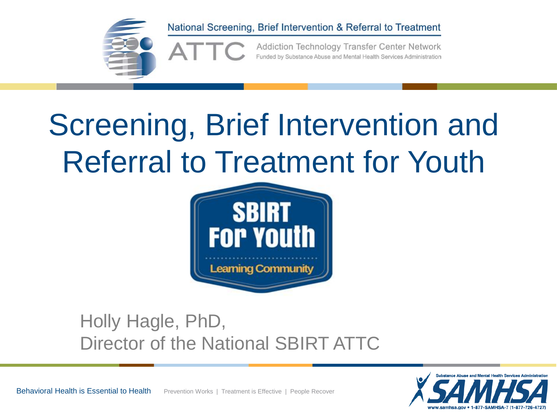

Addiction Technology Transfer Center Network Funded by Substance Abuse and Mental Health Services Administration

#### Screening, Brief Intervention and Referral to Treatment for Youth



#### Holly Hagle, PhD, Director of the National SBIRT ATTC

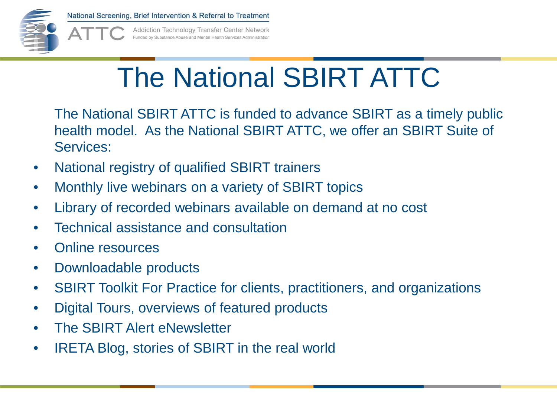

Addiction Technology Transfer Center Network Funded by Substance Abuse and Mental Health Services Administration

#### The National SBIRT ATTC

The National SBIRT ATTC is funded to advance SBIRT as a timely public health model. As the National SBIRT ATTC, we offer an SBIRT Suite of Services:

- National registry of qualified SBIRT trainers
- Monthly live webinars on a variety of SBIRT topics
- Library of recorded webinars available on demand at no cost
- Technical assistance and consultation
- Online resources
- Downloadable products
- SBIRT Toolkit For Practice for clients, practitioners, and organizations
- Digital Tours, overviews of featured products
- The SBIRT Alert eNewsletter
- IRETA Blog, stories of SBIRT in the real world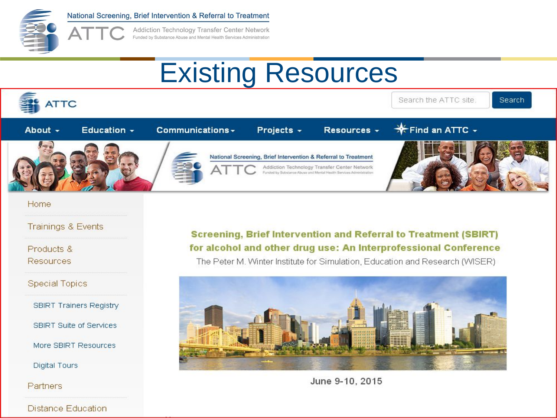

Addiction Technology Transfer Center Network Funded by Substance Abuse and Mental Health Services Administration

#### Existing Resources



#### Home

#### **Trainings & Events**

Products & **Resources** 

**Special Topics** 

SBIRT Trainers Registry

**SBIRT Suite of Services** 

More SBIRT Resources

**Digital Tours** 

Partners

#### Distance Education

#### **Screening, Brief Intervention and Referral to Treatment (SBIRT)** for alcohol and other drug use: An Interprofessional Conference

The Peter M. Winter Institute for Simulation, Education and Research (WISER)



June 9-10, 2015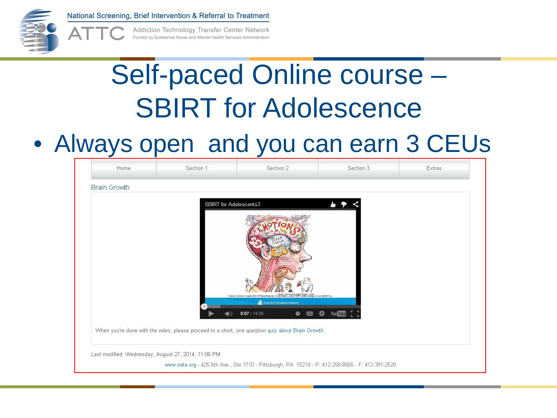

Addiction Technology Transfer Center Network Funded by Substance Abuse and Mental Health Services Administration

#### Self-paced Online course – SBIRT for Adolescence

#### • Always open and you can earn 3 CEUs

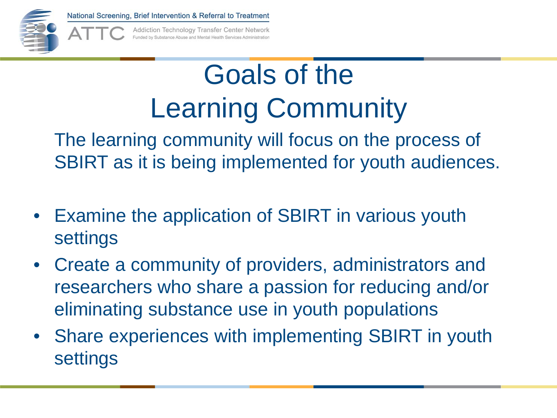

Addiction Technology Transfer Center Network Funded by Substance Abuse and Mental Health Services Administration

#### Goals of the Learning Community

The learning community will focus on the process of SBIRT as it is being implemented for youth audiences.

- Examine the application of SBIRT in various youth settings
- Create a community of providers, administrators and researchers who share a passion for reducing and/or eliminating substance use in youth populations
- Share experiences with implementing SBIRT in youth settings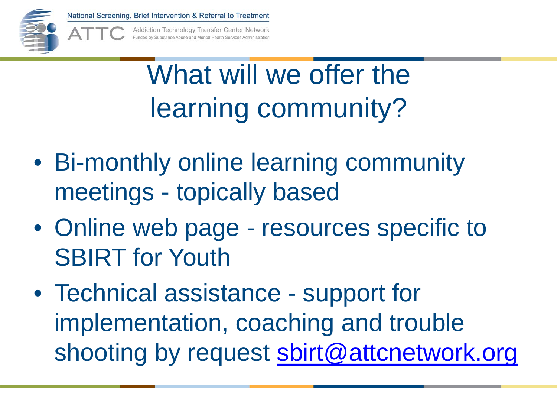

Addiction Technology Transfer Center Network unded by Substance Abuse and Mental Health Services Administration

#### What will we offer the learning community?

- Bi-monthly online learning community meetings - topically based
- Online web page resources specific to SBIRT for Youth
- Technical assistance support for implementation, coaching and trouble shooting by request [sbirt@attcnetwork.org](mailto:sbirt@attcnetwork.org)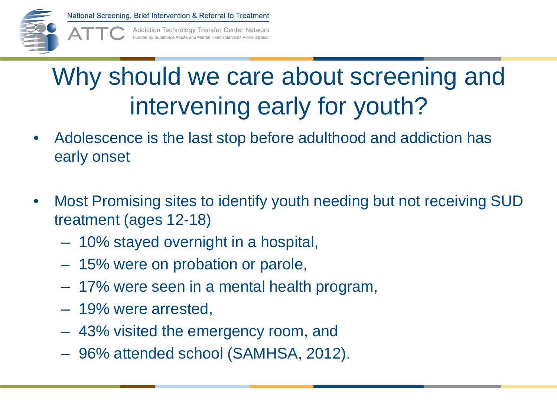

Addiction Technology Transfer Center Network unded by Substance Abuse and Mental Health Services Administratio

#### Why should we care about screening and intervening early for youth?

- Adolescence is the last stop before adulthood and addiction has early onset
- Most Promising sites to identify youth needing but not receiving SUD treatment (ages 12-18)
	- 10% stayed overnight in a hospital,
	- 15% were on probation or parole,
	- 17% were seen in a mental health program,
	- 19% were arrested,
	- 43% visited the emergency room, and
	- 96% attended school (SAMHSA, 2012).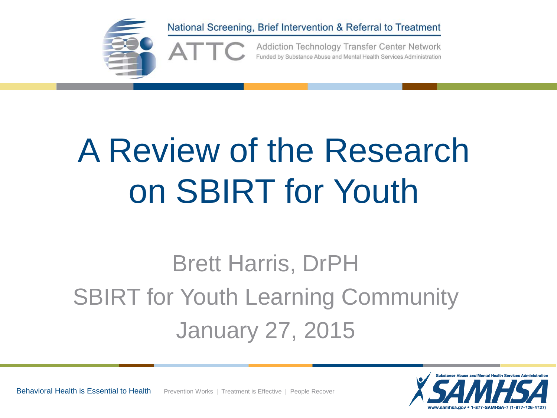

## A Review of the Research on SBIRT for Youth

#### Brett Harris, DrPH SBIRT for Youth Learning Community January 27, 2015

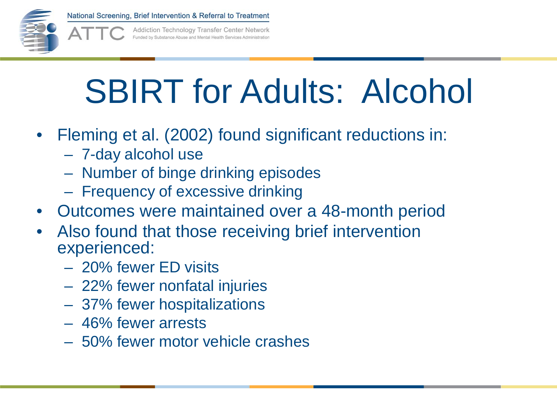

Addiction Technology Transfer Center Network Funded by Substance Abuse and Mental Health Services Administration

## SBIRT for Adults: Alcohol

- Fleming et al. (2002) found significant reductions in:
	- 7-day alcohol use
	- Number of binge drinking episodes
	- Frequency of excessive drinking
- Outcomes were maintained over a 48-month period
- Also found that those receiving brief intervention experienced:
	- 20% fewer ED visits
	- 22% fewer nonfatal injuries
	- 37% fewer hospitalizations
	- 46% fewer arrests
	- 50% fewer motor vehicle crashes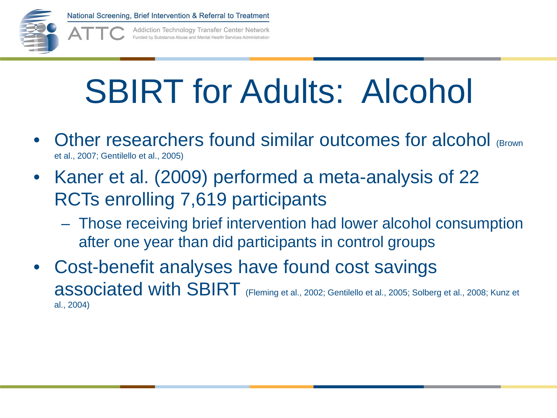

Addiction Technology Transfer Center Network Funded by Substance Abuse and Mental Health Services Administration

## SBIRT for Adults: Alcohol

- Other researchers found similar outcomes for alcohol (Brown et al., 2007; Gentilello et al., 2005)
- Kaner et al. (2009) performed a meta-analysis of 22 RCTs enrolling 7,619 participants
	- Those receiving brief intervention had lower alcohol consumption after one year than did participants in control groups
- Cost-benefit analyses have found cost savings associated with SBIRT (Fleming et al., 2002; Gentilello et al., 2005; Solberg et al., 2008; Kunz et al., 2004)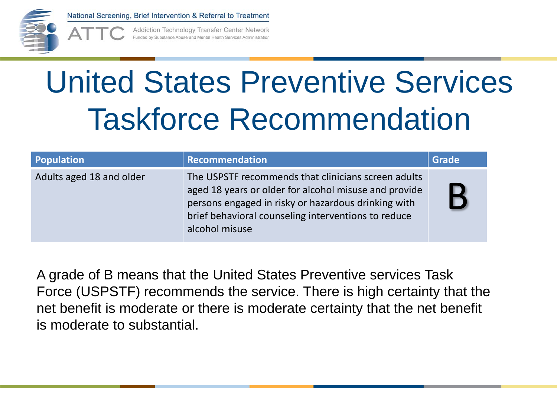

Addiction Technology Transfer Center Network unded by Substance Abuse and Mental Health Services Administratio

#### United States Preventive Services Taskforce Recommendation

| Population               | <b>Recommendation</b>                                                                                                                                                                                                                        | <b>Grade</b> |
|--------------------------|----------------------------------------------------------------------------------------------------------------------------------------------------------------------------------------------------------------------------------------------|--------------|
| Adults aged 18 and older | The USPSTF recommends that clinicians screen adults<br>aged 18 years or older for alcohol misuse and provide<br>persons engaged in risky or hazardous drinking with<br>brief behavioral counseling interventions to reduce<br>alcohol misuse |              |

A grade of B means that the United States Preventive services Task Force (USPSTF) recommends the service. There is high certainty that the net benefit is moderate or there is moderate certainty that the net benefit is moderate to substantial.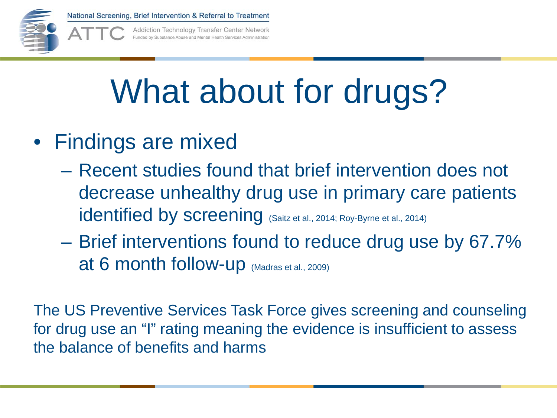

Addiction Technology Transfer Center Network unded by Substance Abuse and Mental Health Services Administratio

# What about for drugs?

- Findings are mixed
	- Recent studies found that brief intervention does not decrease unhealthy drug use in primary care patients identified by screening (Saitz et al., 2014; Roy-Byrne et al., 2014)
	- Brief interventions found to reduce drug use by 67.7% at 6 month follow-up (Madras et al., 2009)

The US Preventive Services Task Force gives screening and counseling for drug use an "I" rating meaning the evidence is insufficient to assess the balance of benefits and harms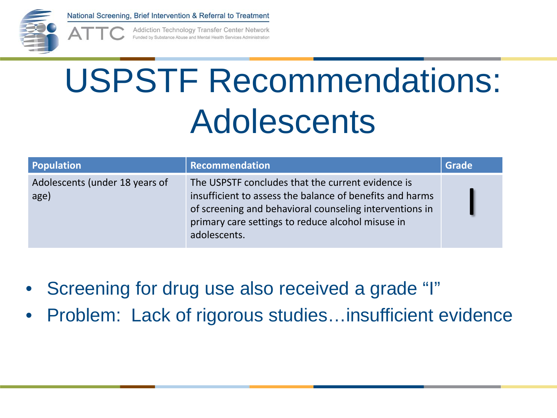

Addiction Technology Transfer Center Network unded by Substance Abuse and Mental Health Services Administratio

# USPSTF Recommendations: Adolescents

| <b>Population</b>                      | Recommendation                                                                                                                                                                                                                                | Grade |
|----------------------------------------|-----------------------------------------------------------------------------------------------------------------------------------------------------------------------------------------------------------------------------------------------|-------|
| Adolescents (under 18 years of<br>age) | The USPSTF concludes that the current evidence is<br>insufficient to assess the balance of benefits and harms<br>of screening and behavioral counseling interventions in<br>primary care settings to reduce alcohol misuse in<br>adolescents. |       |

- Screening for drug use also received a grade "I"
- Problem: Lack of rigorous studies...insufficient evidence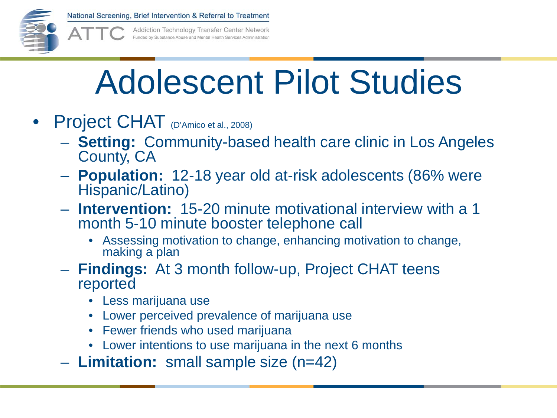

Addiction Technology Transfer Center Network unded by Substance Abuse and Mental Health Services Administration

## Adolescent Pilot Studies

- Project CHAT (D'Amico et al., 2008)
	- **Setting:** Community-based health care clinic in Los Angeles County, CA
	- **Population:** 12-18 year old at-risk adolescents (86% were Hispanic/Latino)
	- **Intervention:** 15-20 minute motivational interview with a 1 month 5-10 minute booster telephone call
		- Assessing motivation to change, enhancing motivation to change, making a plan
	- **Findings:** At 3 month follow-up, Project CHAT teens reported
		- Less marijuana use
		- Lower perceived prevalence of marijuana use
		- Fewer friends who used marijuana
		- Lower intentions to use marijuana in the next 6 months
	- **Limitation:** small sample size (n=42)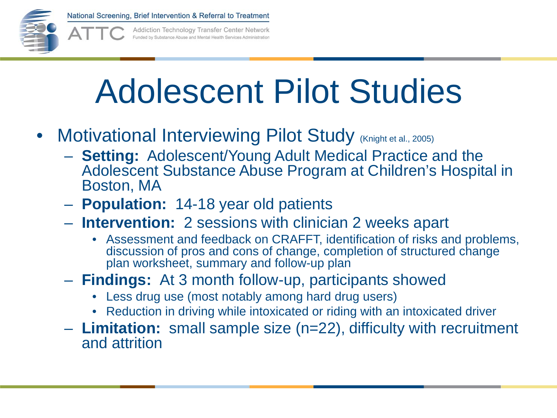

Addiction Technology Transfer Center Network Funded by Substance Abuse and Mental Health Services Administration

## Adolescent Pilot Studies

- Motivational Interviewing Pilot Study (Knight et al., 2005)
	- **Setting:** Adolescent/Young Adult Medical Practice and the Adolescent Substance Abuse Program at Children's Hospital in Boston, MA
	- **Population:** 14-18 year old patients
	- **Intervention:** 2 sessions with clinician 2 weeks apart
		- Assessment and feedback on CRAFFT, identification of risks and problems, discussion of pros and cons of change, completion of structured change plan worksheet, summary and follow-up plan
	- **Findings:** At 3 month follow-up, participants showed
		- Less drug use (most notably among hard drug users)
		- Reduction in driving while intoxicated or riding with an intoxicated driver
	- **Limitation:** small sample size (n=22), difficulty with recruitment and attrition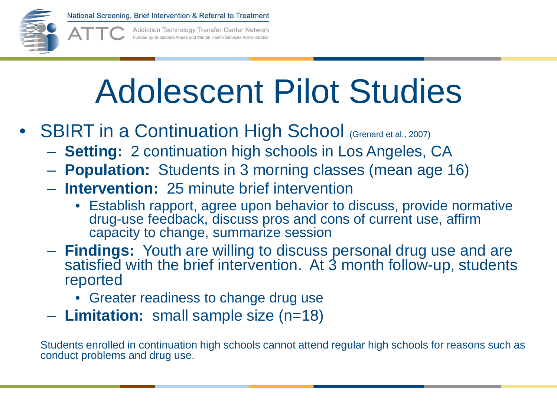

Addiction Technology Transfer Center Network Funded by Substance Abuse and Mental Health Services Administration

### Adolescent Pilot Studies

- SBIRT in a Continuation High School (Grenard et al., 2007)
	- **Setting:** 2 continuation high schools in Los Angeles, CA
	- **Population:** Students in 3 morning classes (mean age 16)
	- **Intervention:** 25 minute brief intervention
		- Establish rapport, agree upon behavior to discuss, provide normative drug-use feedback, discuss pros and cons of current use, affirm capacity to change, summarize session
	- **Findings:** Youth are willing to discuss personal drug use and are satisfied with the brief intervention. At 3 month follow-up, students reported
		- Greater readiness to change drug use
	- **Limitation:** small sample size (n=18)

Students enrolled in continuation high schools cannot attend regular high schools for reasons such as conduct problems and drug use.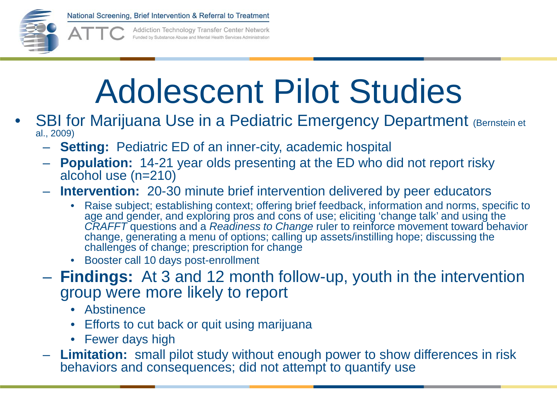

Addiction Technology Transfer Center Network Funded by Substance Abuse and Mental Health Services Administratio

## Adolescent Pilot Studies

- **SBI for Marijuana Use in a Pediatric Emergency Department (Bernstein et** al., 2009)
	- **Setting:** Pediatric ED of an inner-city, academic hospital
	- **Population:** 14-21 year olds presenting at the ED who did not report risky alcohol use (n=210)
	- **Intervention:** 20-30 minute brief intervention delivered by peer educators
		- Raise subject; establishing context; offering brief feedback, information and norms, specific to age and gender, and exploring pros and cons of use; eliciting 'change talk' and using the *CRAFFT* questions and a *Readiness to Change* ruler to reinforce movement toward behavior change, generating a menu of options; calling up assets/instilling hope; discussing the challenges of change; prescription for change
		- Booster call 10 days post-enrollment
	- **Findings:** At 3 and 12 month follow-up, youth in the intervention group were more likely to report
		- Abstinence
		- Efforts to cut back or quit using marijuana
		- Fewer days high
	- **Limitation:** small pilot study without enough power to show differences in risk behaviors and consequences; did not attempt to quantify use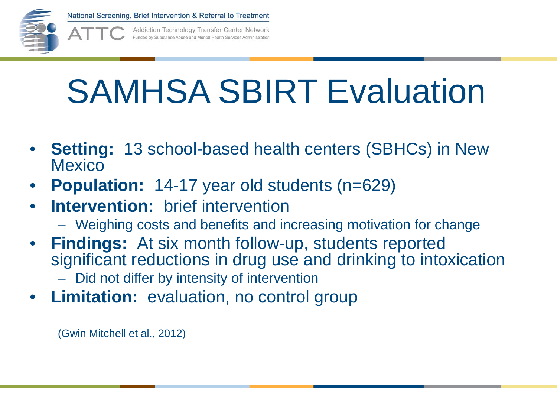

Addiction Technology Transfer Center Network Funded by Substance Abuse and Mental Health Services Administration

### SAMHSA SBIRT Evaluation

- **Setting:** 13 school-based health centers (SBHCs) in New **Mexico**
- **Population:** 14-17 year old students (n=629)
- **Intervention:** brief intervention
	- Weighing costs and benefits and increasing motivation for change
- **Findings:** At six month follow-up, students reported significant reductions in drug use and drinking to intoxication – Did not differ by intensity of intervention
- **Limitation:** evaluation, no control group

(Gwin Mitchell et al., 2012)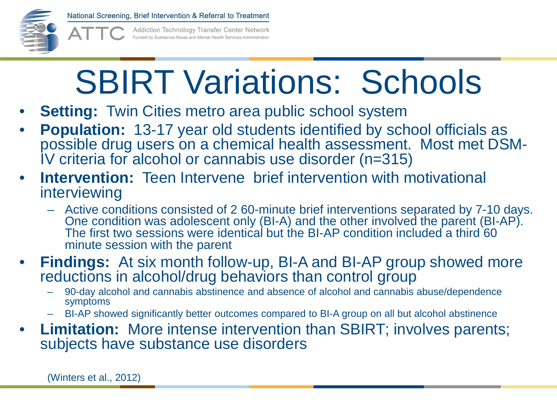

Addiction Technology Transfer Center Network Funded by Substance Abuse and Mental Health Services Administratio

# SBIRT Variations: Schools

- **Setting:** Twin Cities metro area public school system
- **Population:** 13-17 year old students identified by school officials as possible drug users on a chemical health assessment. Most met DSM-<br>IV criteria for alcohol or cannabis use disorder (n=315)
- **Intervention:** Teen Intervene brief intervention with motivational interviewing
	- Active conditions consisted of 2 60-minute brief interventions separated by 7-10 days. One condition was adolescent only (BI-A) and the other involved the parent (BI-AP). The first two sessions were identical but the BI-AP condition included a third 60 minute session with the parent
- **Findings:** At six month follow-up, BI-A and BI-AP group showed more reductions in alcohol/drug behaviors than control group
	- 90-day alcohol and cannabis abstinence and absence of alcohol and cannabis abuse/dependence symptoms
	- BI-AP showed significantly better outcomes compared to BI-A group on all but alcohol abstinence
- **Limitation:** More intense intervention than SBIRT; involves parents; subjects have substance use disorders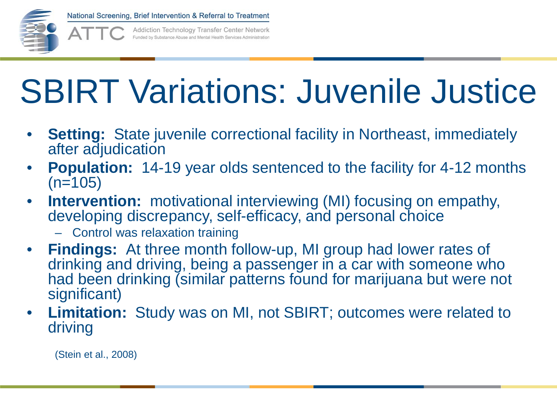

Addiction Technology Transfer Center Network Funded by Substance Abuse and Mental Health Services Administration

## SBIRT Variations: Juvenile Justice

- **Setting:** State juvenile correctional facility in Northeast, immediately after adjudication
- **Population:** 14-19 year olds sentenced to the facility for 4-12 months  $(n=105)$
- **Intervention:** motivational interviewing (MI) focusing on empathy, developing discrepancy, self-efficacy, and personal choice
	- Control was relaxation training
- **Findings:** At three month follow-up, MI group had lower rates of drinking and driving, being a passenger in a car with someone who had been drinking (similar patterns found for marijuana but were not significant)
- **Limitation:** Study was on MI, not SBIRT; outcomes were related to driving

(Stein et al., 2008)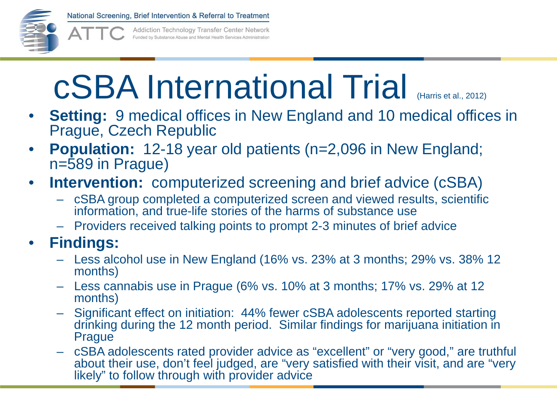

Addiction Technology Transfer Center Network Funded by Substance Abuse and Mental Health Services Administratio

### cSBA International Trial (Harris et al., 2012)

- **Setting:** 9 medical offices in New England and 10 medical offices in Prague, Czech Republic
- **Population:** 12-18 year old patients (n=2,096 in New England; n=589 in Prague)
- **Intervention:** computerized screening and brief advice (cSBA)
	- cSBA group completed a computerized screen and viewed results, scientific information, and true-life stories of the harms of substance use
	- Providers received talking points to prompt 2-3 minutes of brief advice
- **Findings:** 
	- Less alcohol use in New England (16% vs. 23% at 3 months; 29% vs. 38% 12 months)
	- Less cannabis use in Prague (6% vs. 10% at 3 months; 17% vs. 29% at 12 months)
	- Significant effect on initiation: 44% fewer cSBA adolescents reported starting drinking during the 12 month period. Similar findings for marijuana initiation in Prague
	- cSBA adolescents rated provider advice as "excellent" or "very good," are truthful about their use, don't feel judged, are "very satisfied with their visit, and are "very likely" to follow through with provider advice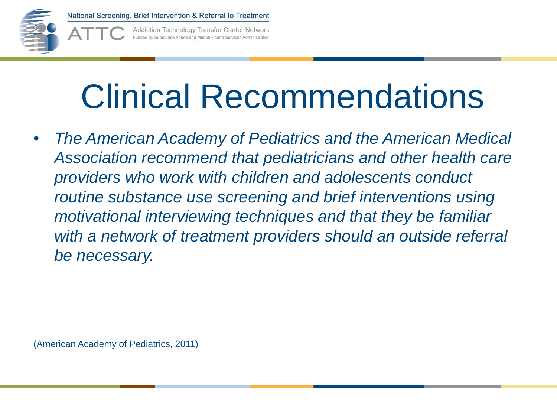

Addiction Technology Transfer Center Network unded by Substance Abuse and Mental Health Services Administration

## Clinical Recommendations

• *The American Academy of Pediatrics and the American Medical Association recommend that pediatricians and other health care providers who work with children and adolescents conduct routine substance use screening and brief interventions using motivational interviewing techniques and that they be familiar with a network of treatment providers should an outside referral be necessary.*

(American Academy of Pediatrics, 2011)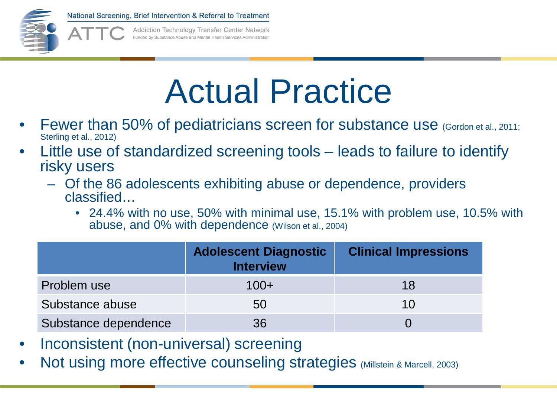

Addiction Technology Transfer Center Network junded by Substance Abuse and Mental Health Services Administratio

### Actual Practice

- Fewer than 50% of pediatricians screen for substance use (Gordon et al., 2011; Sterling et al., 2012)
- Little use of standardized screening tools leads to failure to identify risky users
	- Of the 86 adolescents exhibiting abuse or dependence, providers classified…
		- 24.4% with no use, 50% with minimal use, 15.1% with problem use, 10.5% with abuse, and 0% with dependence (Wilson et al., 2004)

|                      | <b>Adolescent Diagnostic</b><br><b>Interview</b> | <b>Clinical Impressions</b> |
|----------------------|--------------------------------------------------|-----------------------------|
| Problem use          | $100+$                                           | 18                          |
| Substance abuse      | 50                                               | 10                          |
| Substance dependence | 36                                               |                             |

- Inconsistent (non-universal) screening
- Not using more effective counseling strategies (Millstein & Marcell, 2003)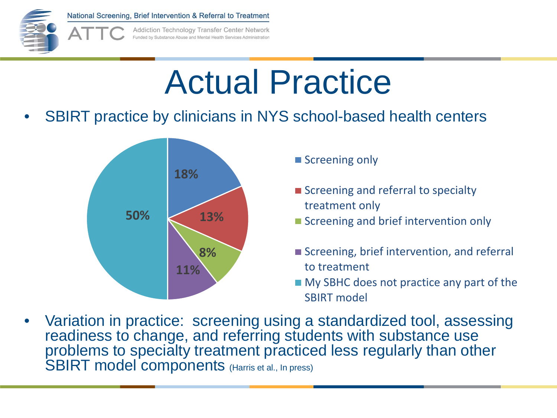

Addiction Technology Transfer Center Network Funded by Substance Abuse and Mental Health Services Administration

## Actual Practice

• SBIRT practice by clinicians in NYS school-based health centers



- **Screening only**
- Screening and referral to specialty treatment only
- Screening and brief intervention only
- Screening, brief intervention, and referral to treatment
- **My SBHC does not practice any part of the** SBIRT model
- Variation in practice: screening using a standardized tool, assessing readiness to change, and referring students with substance use problems to specialty treatment practiced less regularly than other SBIRT model components (Harris et al., In press)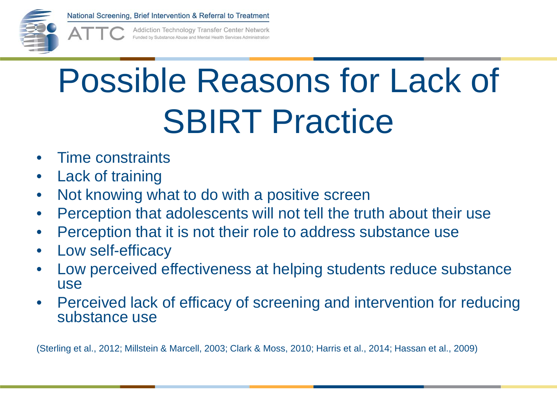

Addiction Technology Transfer Center Network inded by Substance Abuse and Mental Health Services Administratio

# Possible Reasons for Lack of **SBIRT Practice**

- Time constraints
- Lack of training
- Not knowing what to do with a positive screen
- Perception that adolescents will not tell the truth about their use
- Perception that it is not their role to address substance use
- Low self-efficacy
- Low perceived effectiveness at helping students reduce substance use
- Perceived lack of efficacy of screening and intervention for reducing substance use

(Sterling et al., 2012; Millstein & Marcell, 2003; Clark & Moss, 2010; Harris et al., 2014; Hassan et al., 2009)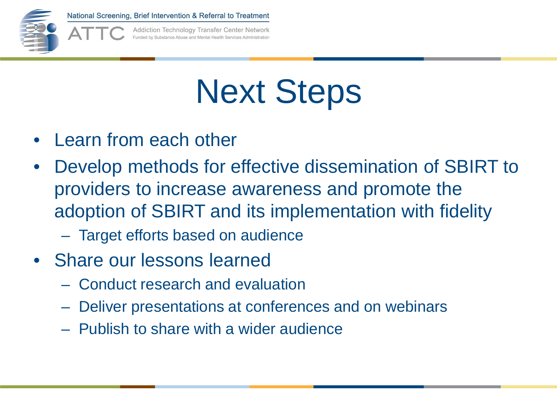

Addiction Technology Transfer Center Network unded by Substance Abuse and Mental Health Services Administratio

## Next Steps

- Learn from each other
- Develop methods for effective dissemination of SBIRT to providers to increase awareness and promote the adoption of SBIRT and its implementation with fidelity
	- Target efforts based on audience
- Share our lessons learned
	- Conduct research and evaluation
	- Deliver presentations at conferences and on webinars
	- Publish to share with a wider audience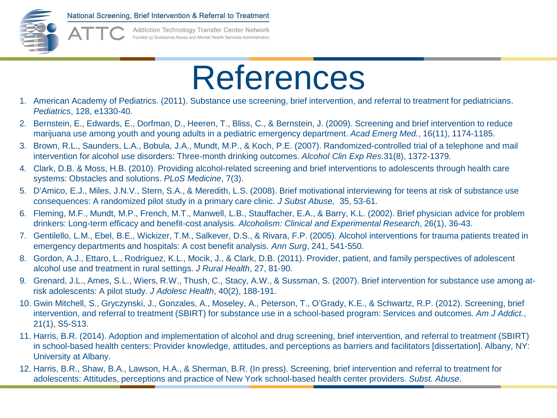

**Addiction Technology Transfer Center Network** Funded by Substance Abuse and Mental Health Services Administratio

#### References

- 1. American Academy of Pediatrics. (2011). Substance use screening, brief intervention, and referral to treatment for pediatricians. *Pediatrics*, 128, e1330-40.
- 2. Bernstein, E., Edwards, E., Dorfman, D., Heeren, T., Bliss, C., & Bernstein, J. (2009). Screening and brief intervention to reduce marijuana use among youth and young adults in a pediatric emergency department. *Acad Emerg Med.*, 16(11), 1174-1185.
- 3. Brown, R.L., Saunders, L.A., Bobula, J.A., Mundt, M.P., & Koch, P.E. (2007). Randomized-controlled trial of a telephone and mail intervention for alcohol use disorders: Three-month drinking outcomes. *Alcohol Clin Exp Res*.31(8), 1372-1379.
- 4. Clark, D.B. & Moss, H.B. (2010). Providing alcohol-related screening and brief interventions to adolescents through health care systems: Obstacles and solutions. *PLoS Medicine*, 7(3).
- 5. D'Amico, E.J., Miles, J.N.V., Stern, S.A., & Meredith, L.S. (2008). Brief motivational interviewing for teens at risk of substance use consequences: A randomized pilot study in a primary care clinic. *J Subst Abuse,* 35, 53-61.
- 6. Fleming, M.F., Mundt, M.P., French, M.T., Manwell, L.B., Stauffacher, E.A., & Barry, K.L. (2002). Brief physician advice for problem drinkers: Long-term efficacy and benefit-cost analysis. *Alcoholism: Clinical and Experimental Research*, 26(1), 36-43.
- 7. Gentilello, L.M., Ebel, B.E., Wickizer, T.M., Salkever, D.S., & Rivara, F.P. (2005). Alcohol interventions for trauma patients treated in emergency departments and hospitals: A cost benefit analysis. *Ann Surg*, 241, 541-550.
- 8. Gordon, A.J., Ettaro, L., Rodriguez, K.L., Mocik, J., & Clark, D.B. (2011). Provider, patient, and family perspectives of adolescent alcohol use and treatment in rural settings. *J Rural Health*, 27, 81-90.
- 9. Grenard, J.L., Ames, S.L., Wiers, R.W., Thush, C., Stacy, A.W., & Sussman, S. (2007). Brief intervention for substance use among atrisk adolescents: A pilot study. *J Adolesc Health*, 40(2), 188-191.
- 10. Gwin Mitchell, S., Gryczynski, J., Gonzales, A., Moseley, A., Peterson, T., O'Grady, K.E., & Schwartz, R.P. (2012). Screening, brief intervention, and referral to treatment (SBIRT) for substance use in a school-based program: Services and outcomes. *Am J Addict.*, 21(1), S5-S13.
- 11. Harris, B.R. (2014). Adoption and implementation of alcohol and drug screening, brief intervention, and referral to treatment (SBIRT) in school-based health centers: Provider knowledge, attitudes, and perceptions as barriers and facilitators [dissertation]. Albany, NY: University at Albany.
- 12. Harris, B.R., Shaw, B.A., Lawson, H.A., & Sherman, B.R. (In press). Screening, brief intervention and referral to treatment for adolescents: Attitudes, perceptions and practice of New York school-based health center providers. *Subst. Abuse*.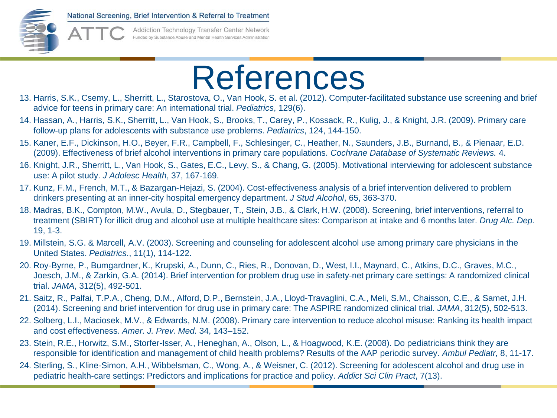

**Addiction Technology Transfer Center Network** Funded by Substance Abuse and Mental Health Services Administratio

#### References

- 13. Harris, S.K., Csemy, L., Sherritt, L., Starostova, O., Van Hook, S. et al. (2012). Computer-facilitated substance use screening and brief advice for teens in primary care: An international trial. *Pediatrics*, 129(6).
- 14. Hassan, A., Harris, S.K., Sherritt, L., Van Hook, S., Brooks, T., Carey, P., Kossack, R., Kulig, J., & Knight, J.R. (2009). Primary care follow-up plans for adolescents with substance use problems. *Pediatrics*, 124, 144-150.
- 15. Kaner, E.F., Dickinson, H.O., Beyer, F.R., Campbell, F., Schlesinger, C., Heather, N., Saunders, J.B., Burnand, B., & Pienaar, E.D. (2009). Effectiveness of brief alcohol interventions in primary care populations. *Cochrane Database of Systematic Reviews.* 4.
- 16. Knight, J.R., Sherritt, L., Van Hook, S., Gates, E.C., Levy, S., & Chang, G. (2005). Motivational interviewing for adolescent substance use: A pilot study. *J Adolesc Health*, 37, 167-169.
- 17. Kunz, F.M., French, M.T., & Bazargan-Hejazi, S. (2004). Cost-effectiveness analysis of a brief intervention delivered to problem drinkers presenting at an inner-city hospital emergency department. *J Stud Alcohol*, 65, 363-370.
- 18. Madras, B.K., Compton, M.W., Avula, D., Stegbauer, T., Stein, J.B., & Clark, H.W. (2008). Screening, brief interventions, referral to treatment (SBIRT) for illicit drug and alcohol use at multiple healthcare sites: Comparison at intake and 6 months later. *Drug Alc. Dep.*  19, 1-3.
- 19. Millstein, S.G. & Marcell, A.V. (2003). Screening and counseling for adolescent alcohol use among primary care physicians in the United States. *Pediatrics*., 11(1), 114-122.
- 20. Roy-Byrne, P., Bumgardner, K., Krupski, A., Dunn, C., Ries, R., Donovan, D., West, I.I., Maynard, C., Atkins, D.C., Graves, M.C., Joesch, J.M., & Zarkin, G.A. (2014). Brief intervention for problem drug use in safety-net primary care settings: A randomized clinical trial. *JAMA*, 312(5), 492-501.
- 21. Saitz, R., Palfai, T.P.A., Cheng, D.M., Alford, D.P., Bernstein, J.A., Lloyd-Travaglini, C.A., Meli, S.M., Chaisson, C.E., & Samet, J.H. (2014). Screening and brief intervention for drug use in primary care: The ASPIRE randomized clinical trial. *JAMA*, 312(5), 502-513.
- 22. Solberg, L.I., Maciosek, M.V., & Edwards, N.M. (2008). Primary care intervention to reduce alcohol misuse: Ranking its health impact and cost effectiveness. *Amer. J. Prev. Med.* 34, 143–152.
- 23. Stein, R.E., Horwitz, S.M., Storfer-Isser, A., Heneghan, A., Olson, L., & Hoagwood, K.E. (2008). Do pediatricians think they are responsible for identification and management of child health problems? Results of the AAP periodic survey. *Ambul Pediatr,* 8, 11-17.
- 24. Sterling, S., Kline-Simon, A.H., Wibbelsman, C., Wong, A., & Weisner, C. (2012). Screening for adolescent alcohol and drug use in pediatric health-care settings: Predictors and implications for practice and policy. *Addict Sci Clin Pract*, 7(13).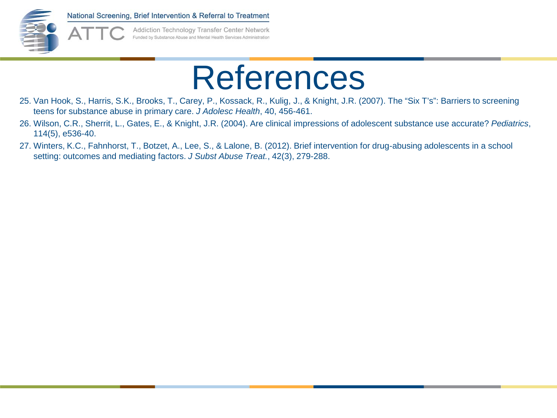

Addiction Technology Transfer Center Network Funded by Substance Abuse and Mental Health Services Administration

#### References

- 25. Van Hook, S., Harris, S.K., Brooks, T., Carey, P., Kossack, R., Kulig, J., & Knight, J.R. (2007). The "Six T's": Barriers to screening teens for substance abuse in primary care. *J Adolesc Health*, 40, 456-461.
- 26. Wilson, C.R., Sherrit, L., Gates, E., & Knight, J.R. (2004). Are clinical impressions of adolescent substance use accurate? *Pediatrics*, 114(5), e536-40.
- 27. Winters, K.C., Fahnhorst, T., Botzet, A., Lee, S., & Lalone, B. (2012). Brief intervention for drug-abusing adolescents in a school setting: outcomes and mediating factors. *J Subst Abuse Treat.*, 42(3), 279-288.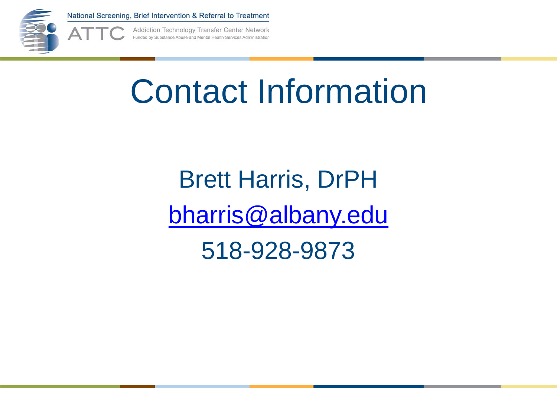

Addiction Technology Transfer Center Network Funded by Substance Abuse and Mental Health Services Administration

#### Contact Information

Brett Harris, DrPH [bharris@albany.edu](mailto:bharris@albany.edu)

518-928-9873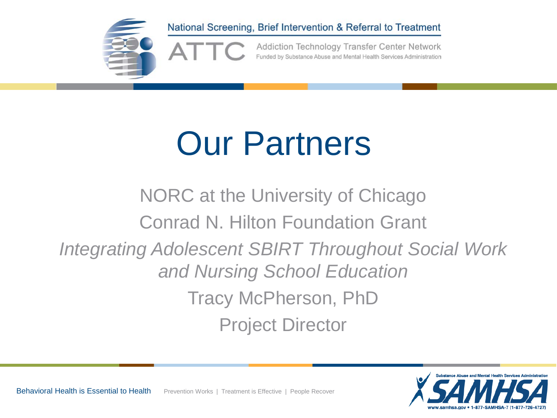

### Our Partners

NORC at the University of Chicago Conrad N. Hilton Foundation Grant *Integrating Adolescent SBIRT Throughout Social Work and Nursing School Education* Tracy McPherson, PhD Project Director